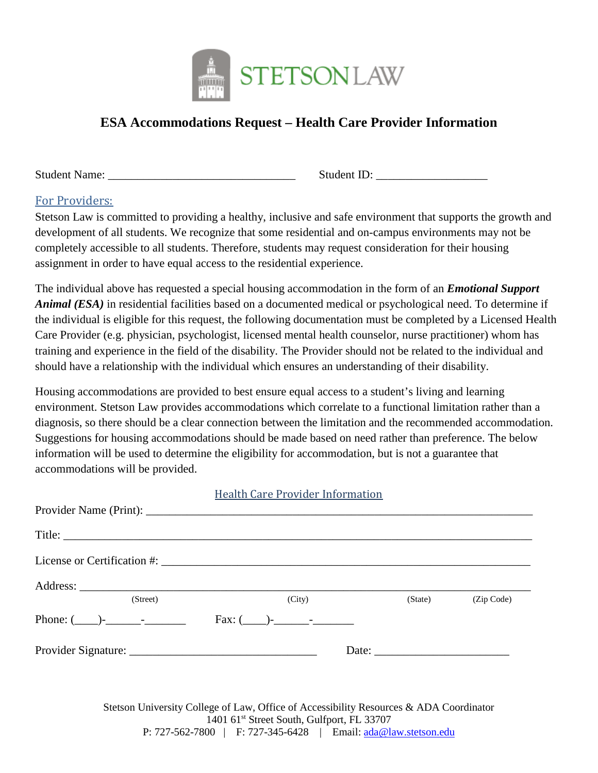

## **ESA Accommodations Request – Health Care Provider Information**

Student Name: \_\_\_\_\_\_\_\_\_\_\_\_\_\_\_\_\_\_\_\_\_\_\_\_\_\_\_\_\_\_\_\_ Student ID: \_\_\_\_\_\_\_\_\_\_\_\_\_\_\_\_\_\_\_

## For Providers:

Stetson Law is committed to providing a healthy, inclusive and safe environment that supports the growth and development of all students. We recognize that some residential and on-campus environments may not be completely accessible to all students. Therefore, students may request consideration for their housing assignment in order to have equal access to the residential experience.

The individual above has requested a special housing accommodation in the form of an *Emotional Support Animal (ESA)* in residential facilities based on a documented medical or psychological need. To determine if the individual is eligible for this request, the following documentation must be completed by a Licensed Health Care Provider (e.g. physician, psychologist, licensed mental health counselor, nurse practitioner) whom has training and experience in the field of the disability. The Provider should not be related to the individual and should have a relationship with the individual which ensures an understanding of their disability.

Housing accommodations are provided to best ensure equal access to a student's living and learning environment. Stetson Law provides accommodations which correlate to a functional limitation rather than a diagnosis, so there should be a clear connection between the limitation and the recommended accommodation. Suggestions for housing accommodations should be made based on need rather than preference. The below information will be used to determine the eligibility for accommodation, but is not a guarantee that accommodations will be provided.

|                                                       | Health Care Provider Information |         |            |
|-------------------------------------------------------|----------------------------------|---------|------------|
|                                                       |                                  |         |            |
|                                                       |                                  |         |            |
|                                                       |                                  |         |            |
|                                                       |                                  |         |            |
| (Street)                                              | (City)                           | (State) | (Zip Code) |
| Phone: $(\_\_)$ - $\_\_$ - $\_\_$ - $\_\_$ - $\_\_$ - | $Fax: ($ — $)-$ — $-$ — $-$      |         |            |
|                                                       |                                  |         |            |
|                                                       |                                  |         |            |

Stetson University College of Law, Office of Accessibility Resources & ADA Coordinator 1401 61<sup>st</sup> Street South, Gulfport, FL 33707 P: 727-562-7800 | F: 727-345-6428 | Email: [ada@law.stetson.edu](mailto:ada@law.stetson.edu)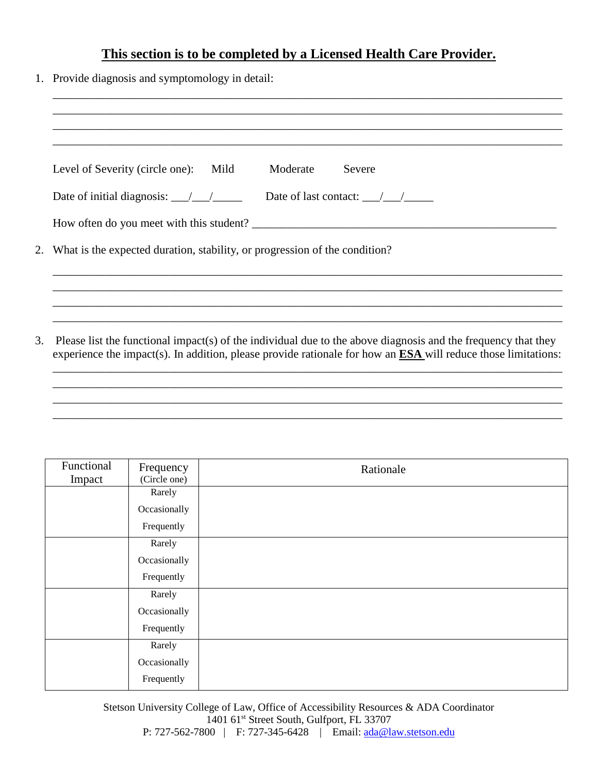## **This section is to be completed by a Licensed Health Care Provider.**

1. Provide diagnosis and symptomology in detail:

|                                                                                  | Mild<br>Moderate<br>Severe<br>Level of Severity (circle one):                                                                                                                                                                               |  |
|----------------------------------------------------------------------------------|---------------------------------------------------------------------------------------------------------------------------------------------------------------------------------------------------------------------------------------------|--|
|                                                                                  | Date of last contact: $\frac{\sqrt{2}}{2}$<br>Date of initial diagnosis: $\frac{1}{\sqrt{1-\frac{1}{2}}}$                                                                                                                                   |  |
|                                                                                  |                                                                                                                                                                                                                                             |  |
| What is the expected duration, stability, or progression of the condition?<br>2. |                                                                                                                                                                                                                                             |  |
|                                                                                  |                                                                                                                                                                                                                                             |  |
|                                                                                  |                                                                                                                                                                                                                                             |  |
|                                                                                  |                                                                                                                                                                                                                                             |  |
|                                                                                  | Please list the functional impact(s) of the individual due to the above diagnosis and the frequency that they<br>experience the impact(s). In addition, please provide rationale for how an $\overline{ESA}$ will reduce those limitations: |  |

| Functional | Frequency    | Rationale |
|------------|--------------|-----------|
| Impact     | (Circle one) |           |
|            | Rarely       |           |
|            | Occasionally |           |
|            | Frequently   |           |
|            | Rarely       |           |
|            | Occasionally |           |
|            | Frequently   |           |
|            | Rarely       |           |
|            | Occasionally |           |
|            | Frequently   |           |
|            | Rarely       |           |
|            | Occasionally |           |
|            | Frequently   |           |

Stetson University College of Law, Office of Accessibility Resources & ADA Coordinator 1401 61<sup>st</sup> Street South, Gulfport, FL 33707 P: 727-562-7800 | F: 727-345-6428 | Email: [ada@law.stetson.edu](mailto:ada@law.stetson.edu)